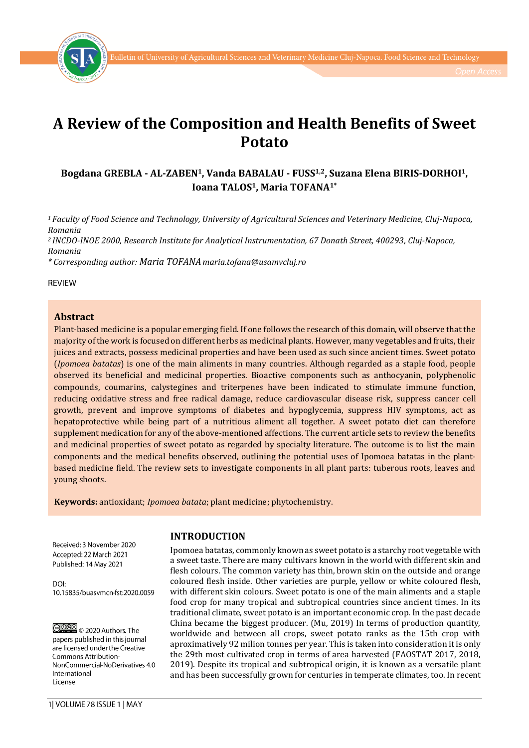



# **A Review of the Composition and Health Benefits of Sweet Potato**

# **Bogdana GREBLA - AL-ZABEN1, Vanda BABALAU - FUSS1,2, Suzana Elena BIRIS-DORHOI1, Ioana TALOS1, Maria TOFANA1\***

*<sup>1</sup> Faculty of Food Science and Technology, University of Agricultural Sciences and Veterinary Medicine, Cluj-Napoca, Romania*

*<sup>2</sup>INCDO-INOE 2000, Research Institute for Analytical Instrumentation, 67 Donath Street, 400293, Cluj-Napoca, Romania*

*\* Corresponding author: Maria TOFANA maria.tofana@usamvcluj.ro*

**REVIEW** 

## **Abstract**

Plant-based medicine is a popular emerging field. If one follows the research of this domain, will observe that the majority of the work is focused on different herbs as medicinal plants. However, many vegetables and fruits, their juices and extracts, possess medicinal properties and have been used as such since ancient times. Sweet potato (*Ipomoea batatas*) is one of the main aliments in many countries. Although regarded as a staple food, people observed its beneficial and medicinal properties. Bioactive components such as anthocyanin, polyphenolic compounds, coumarins, calystegines and triterpenes have been indicated to stimulate immune function, reducing oxidative stress and free radical damage, reduce cardiovascular disease risk, suppress cancer cell growth, prevent and improve symptoms of diabetes and hypoglycemia, suppress HIV symptoms, act as hepatoprotective while being part of a nutritious aliment all together. A sweet potato diet can therefore supplement medication for any of the above-mentioned affections. The current article sets to review the benefits and medicinal properties of sweet potato as regarded by specialty literature. The outcome is to list the main components and the medical benefits observed, outlining the potential uses of Ipomoea batatas in the plantbased medicine field. The review sets to investigate components in all plant parts: tuberous roots, leaves and young shoots.

**Keywords:** antioxidant; *Ipomoea batata*; plant medicine; phytochemistry.

Received: 3 November 2020 Accepted: 22 March 2021 Published: 14 May 2021

DOI<sup>-</sup> 10.15835/buasymcn-fst:2020.0059

@000 c 2020 Authors. The papers published in this journal are licensed under the Creative Commons Attribution-NonCommercial-NoDerivatives 4.0 International License

#### **INTRODUCTION**

Ipomoea batatas, commonly known as sweet potato is a starchy root vegetable with a sweet taste. There are many cultivars known in the world with different skin and flesh colours. The common variety has thin, brown skin on the outside and orange coloured flesh inside. Other varieties are purple, yellow or white coloured flesh, with different skin colours. Sweet potato is one of the main aliments and a staple food crop for many tropical and subtropical countries since ancient times. In its traditional climate, sweet potato is an important economic crop. In the past decade China became the biggest producer. (Mu, 2019) In terms of production quantity, worldwide and between all crops, sweet potato ranks as the 15th crop with aproximatively 92 milion tonnes per year. This is taken into consideration it is only the 29th most cultivated crop in terms of area harvested (FAOSTAT 2017, 2018, 2019). Despite its tropical and subtropical origin, it is known as a versatile plant and has been successfully grown for centuries in temperate climates, too. In recent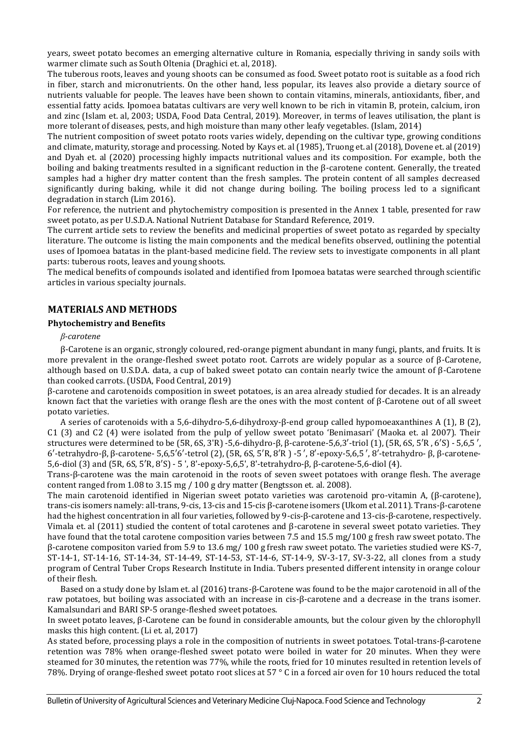years, sweet potato becomes an emerging alternative culture in Romania, especially thriving in sandy soils with warmer climate such as South Oltenia (Draghici et. al, 2018).

The tuberous roots, leaves and young shoots can be consumed as food. Sweet potato root is suitable as a food rich in fiber, starch and micronutrients. On the other hand, less popular, its leaves also provide a dietary source of nutrients valuable for people. The leaves have been shown to contain vitamins, minerals, antioxidants, fiber, and essential fatty acids. Ipomoea batatas cultivars are very well known to be rich in vitamin B, protein, calcium, iron and zinc (Islam et. al, 2003; USDA, Food Data Central, 2019). Moreover, in terms of leaves utilisation, the plant is more tolerant of diseases, pests, and high moisture than many other leafy vegetables. (Islam, 2014)

The nutrient composition of sweet potato roots varies widely, depending on the cultivar type, growing conditions and climate, maturity, storage and processing. Noted by Kays et. al (1985), Truong et. al (2018), Dovene et. al (2019) and Dyah et. al (2020) processing highly impacts nutritional values and its composition. For example, both the boiling and baking treatments resulted in a significant reduction in the β-carotene content. Generally, the treated samples had a higher dry matter content than the fresh samples. The protein content of all samples decreased significantly during baking, while it did not change during boiling. The boiling process led to a significant degradation in starch (Lim 2016).

For reference, the nutrient and phytochemistry composition is presented in the Annex 1 table, presented for raw sweet potato, as per U.S.D.A. National Nutrient Database for Standard Reference, 2019.

The current article sets to review the benefits and medicinal properties of sweet potato as regarded by specialty literature. The outcome is listing the main components and the medical benefits observed, outlining the potential uses of Ipomoea batatas in the plant-based medicine field. The review sets to investigate components in all plant parts: tuberous roots, leaves and young shoots.

The medical benefits of compounds isolated and identified from Ipomoea batatas were searched through scientific articles in various specialty journals.

# **MATERIALS AND METHODS**

## **Phytochemistry and Benefits**

## *β-carotene*

β-Carotene is an organic, strongly coloured, red-orange pigment abundant in many fungi, plants, and fruits. It is more prevalent in the orange-fleshed sweet potato root. Carrots are widely popular as a source of β-Carotene, although based on U.S.D.A. data, a cup of baked sweet potato can contain nearly twice the amount of β-Carotene than cooked carrots. (USDA, Food Central, 2019)

β-carotene and carotenoids composition in sweet potatoes, is an area already studied for decades. It is an already known fact that the varieties with orange flesh are the ones with the most content of  $\beta$ -Carotene out of all sweet potato varieties.

A series of carotenoids with a 5,6-dihydro-5,6-dihydroxy-β-end group called hypomoeaxanthines A (1), B (2), C1 (3) and C2 (4) were isolated from the pulp of yellow sweet potato 'Benimasari' (Maoka et. al 2007). Their structures were determined to be (5R, 6S, 3'R) -5,6-dihydro-β, β-carotene-5,6,3′-triol (1), (5R, 6S, 5′R , 6′S) - 5,6,5 ′, 6′-tetrahydro-β, β-carotene- 5,6,5′6′-tetrol (2), (5R, 6S, 5′R, 8′R ) -5 ′, 8′-epoxy-5,6,5 ′, 8′-tetrahydro- β, β-carotene-5,6-diol (3) and (5R, 6S, 5′R, 8′S) - 5 ', 8'-epoxy-5,6,5', 8'-tetrahydro-β, β-carotene-5,6-diol (4).

Trans-β-carotene was the main carotenoid in the roots of seven sweet potatoes with orange flesh. The average content ranged from 1.08 to 3.15 mg / 100 g dry matter (Bengtsson et. al. 2008).

The main carotenoid identified in Nigerian sweet potato varieties was carotenoid pro-vitamin A, (β-carotene), trans-cis isomers namely: all-trans, 9-cis, 13-cis and 15-cis β-carotene isomers (Ukom et al. 2011). Trans-β-carotene had the highest concentration in all four varieties, followed by 9-cis-β-carotene and 13-cis-β-carotene, respectively. Vimala et. al (2011) studied the content of total carotenes and β-carotene in several sweet potato varieties. They have found that the total carotene composition varies between 7.5 and 15.5 mg/100 g fresh raw sweet potato. The β-carotene compositon varied from 5.9 to 13.6 mg/ 100 g fresh raw sweet potato. The varieties studied were KS-7, ST-14-1, ST-14-16, ST-14-34, ST-14-49, ST-14-53, ST-14-6, ST-14-9, SV-3-17, SV-3-22, all clones from a study program of Central Tuber Crops Research Institute in India. Tubers presented different intensity in orange colour of their flesh.

Based on a study done by Islam et. al (2016) trans-β-Carotene was found to be the major carotenoid in all of the raw potatoes, but boiling was associated with an increase in cis-β-carotene and a decrease in the trans isomer. Kamalsundari and BARI SP-5 orange-fleshed sweet potatoes.

In sweet potato leaves, β-Carotene can be found in considerable amounts, but the colour given by the chlorophyll masks this high content. (Li et. al, 2017)

As stated before, processing plays a role in the composition of nutrients in sweet potatoes. Total-trans-β-carotene retention was 78% when orange-fleshed sweet potato were boiled in water for 20 minutes. When they were steamed for 30 minutes, the retention was 77%, while the roots, fried for 10 minutes resulted in retention levels of 78%. Drying of orange-fleshed sweet potato root slices at 57 ° C in a forced air oven for 10 hours reduced the total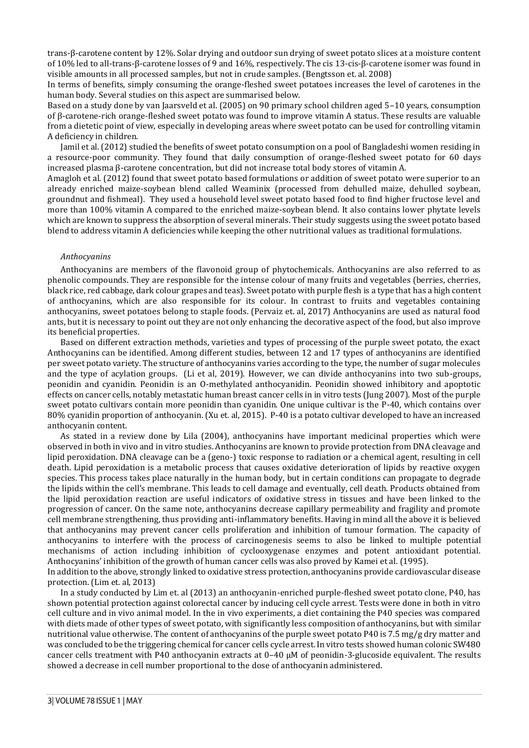trans-β-carotene content by 12%. Solar drying and outdoor sun drying of sweet potato slices at a moisture content of 10% led to all-trans-β-carotene losses of 9 and 16%, respectively. The cis 13-cis-β-carotene isomer was found in visible amounts in all processed samples, but not in crude samples. (Bengtsson et. al. 2008)

In terms of benefits, simply consuming the orange-fleshed sweet potatoes increases the level of carotenes in the human body. Several studies on this aspect are summarised below.

Based on a study done by van Jaarsveld et al. (2005) on 90 primary school children aged 5–10 years, consumption of β-carotene-rich orange-fleshed sweet potato was found to improve vitamin A status. These results are valuable from a dietetic point of view, especially in developing areas where sweet potato can be used for controlling vitamin A deficiency in children.

Jamil et al. (2012) studied the benefits of sweet potato consumption on a pool of Bangladeshi women residing in a resource-poor community. They found that daily consumption of orange-fleshed sweet potato for 60 days increased plasma β-carotene concentration, but did not increase total body stores of vitamin A.

Amagloh et al. (2012) found that sweet potato based formulations or addition of sweet potato were superior to an already enriched maize-soybean blend called Weaminix (processed from dehulled maize, dehulled soybean, groundnut and fishmeal). They used a household level sweet potato based food to find higher fructose level and more than 100% vitamin A compared to the enriched maize-soybean blend. It also contains lower phytate levels which are known to suppress the absorption of several minerals. Their study suggests using the sweet potato based blend to address vitamin A deficiencies while keeping the other nutritional values as traditional formulations.

## *Anthocyanins*

Anthocyanins are members of the flavonoid group of phytochemicals. Anthocyanins are also referred to as phenolic compounds. They are responsible for the intense colour of many fruits and vegetables (berries, cherries, black rice, red cabbage, dark colour grapes and teas). Sweet potato with purple flesh is a type that has a high content of anthocyanins, which are also responsible for its colour. In contrast to fruits and vegetables containing anthocyanins, sweet potatoes belong to staple foods. (Pervaiz et. al, 2017) Anthocyanins are used as natural food ants, but it is necessary to point out they are not only enhancing the decorative aspect of the food, but also improve its beneficial properties.

Based on different extraction methods, varieties and types of processing of the purple sweet potato, the exact Anthocyanins can be identified. Among different studies, between 12 and 17 types of anthocyanins are identified per sweet potato variety. The structure of anthocyanins varies according to the type, the number of sugar molecules and the type of acylation groups. (Li et al, 2019). However, we can divide anthocyanins into two sub-groups, peonidin and cyanidin. Peonidin is an O-methylated anthocyanidin. Peonidin showed inhibitory and apoptotic effects on cancer cells, notably metastatic human breast cancer cells in in vitro tests (Jung 2007). Most of the purple sweet potato cultivars contain more peonidin than cyanidin. One unique cultivar is the P-40, which contains over 80% cyanidin proportion of anthocyanin. (Xu et. al, 2015). P-40 is a potato cultivar developed to have an increased anthocyanin content.

As stated in a review done by Lila (2004), anthocyanins have important medicinal properties which were observed in both in vivo and in vitro studies. Anthocyanins are known to provide protection from DNA cleavage and lipid peroxidation. DNA cleavage can be a (geno-) toxic response to radiation or a chemical agent, resulting in cell death. Lipid peroxidation is a metabolic process that causes oxidative deterioration of lipids by reactive oxygen species. This process takes place naturally in the human body, but in certain conditions can propagate to degrade the lipids within the cell's membrane. This leads to cell damage and eventually, cell death. Products obtained from the lipid peroxidation reaction are useful indicators of oxidative stress in tissues and have been linked to the progression of cancer. On the same note, anthocyanins decrease capillary permeability and fragility and promote cell membrane strengthening, thus providing anti-inflammatory benefits. Having in mind all the above it is believed that anthocyanins may prevent cancer cells proliferation and inhibition of tumour formation. The capacity of anthocyanins to interfere with the process of carcinogenesis seems to also be linked to multiple potential mechanisms of action including inhibition of cyclooxygenase enzymes and potent antioxidant potential. Anthocyanins' inhibition of the growth of human cancer cells was also proved by Kamei et al. (1995). In addition to the above, strongly linked to oxidative stress protection, anthocyanins provide cardiovascular disease

protection. (Lim et. al, 2013)

In a study conducted by Lim et. al (2013) an anthocyanin-enriched purple-fleshed sweet potato clone, P40, has shown potential protection against colorectal cancer by inducing cell cycle arrest. Tests were done in both in vitro cell culture and in vivo animal model. In the in vivo experiments, a diet containing the P40 species was compared with diets made of other types of sweet potato, with significantly less composition of anthocyanins, but with similar nutritional value otherwise. The content of anthocyanins of the purple sweet potato P40 is 7.5 mg/g dry matter and was concluded to be the triggering chemical for cancer cells cycle arrest. In vitro tests showed human colonic SW480 cancer cells treatment with P40 anthocyanin extracts at 0–40 μM of peonidin-3-glucoside equivalent. The results showed a decrease in cell number proportional to the dose of anthocyanin administered.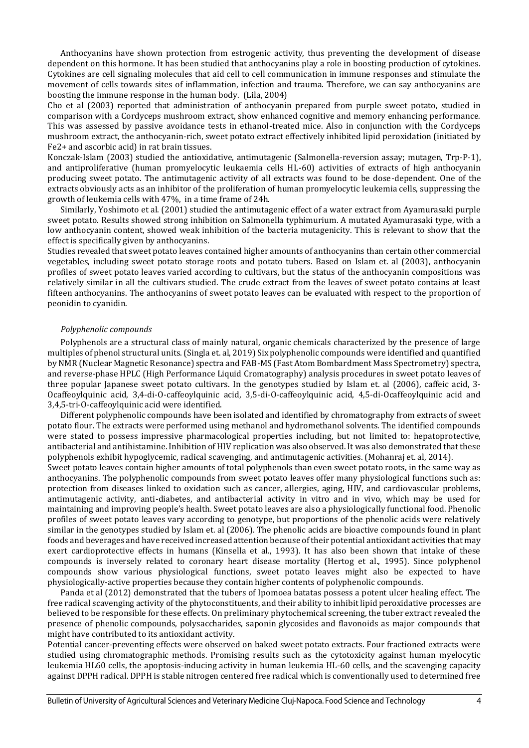Anthocyanins have shown protection from estrogenic activity, thus preventing the development of disease dependent on this hormone. It has been studied that anthocyanins play a role in boosting production of cytokines. Cytokines are cell signaling molecules that aid cell to cell communication in immune responses and stimulate the movement of cells towards sites of inflammation, infection and trauma. Therefore, we can say anthocyanins are boosting the immune response in the human body. (Lila, 2004)

Cho et al (2003) reported that administration of anthocyanin prepared from purple sweet potato, studied in comparison with a Cordyceps mushroom extract, show enhanced cognitive and memory enhancing performance. This was assessed by passive avoidance tests in ethanol-treated mice. Also in conjunction with the Cordyceps mushroom extract, the anthocyanin-rich, sweet potato extract effectively inhibited lipid peroxidation (initiated by Fe2+ and ascorbic acid) in rat brain tissues.

Konczak-Islam (2003) studied the antioxidative, antimutagenic (Salmonella-reversion assay; mutagen, Trp-P-1), and antiproliferative (human promyelocytic leukaemia cells HL-60) activities of extracts of high anthocyanin producing sweet potato. The antimutagenic activity of all extracts was found to be dose-dependent. One of the extracts obviously acts as an inhibitor of the proliferation of human promyelocytic leukemia cells, suppressing the growth of leukemia cells with 47%, in a time frame of 24h.

Similarly, Yoshimoto et al. (2001) studied the antimutagenic effect of a water extract from Ayamurasaki purple sweet potato. Results showed strong inhibition on Salmonella typhimurium. A mutated Ayamurasaki type, with a low anthocyanin content, showed weak inhibition of the bacteria mutagenicity. This is relevant to show that the effect is specifically given by anthocyanins.

Studies revealed that sweet potato leaves contained higher amounts of anthocyanins than certain other commercial vegetables, including sweet potato storage roots and potato tubers. Based on Islam et. al (2003), anthocyanin profiles of sweet potato leaves varied according to cultivars, but the status of the anthocyanin compositions was relatively similar in all the cultivars studied. The crude extract from the leaves of sweet potato contains at least fifteen anthocyanins. The anthocyanins of sweet potato leaves can be evaluated with respect to the proportion of peonidin to cyanidin.

## *Polyphenolic compounds*

Polyphenols are a structural class of mainly natural, organic chemicals characterized by the presence of large multiples of phenol structural units. (Singla et. al, 2019) Six polyphenolic compounds were identified and quantified by NMR (Nuclear Magnetic Resonance) spectra and FAB-MS (Fast Atom Bombardment Mass Spectrometry) spectra, and reverse-phase HPLC (High Performance Liquid Cromatography) analysis procedures in sweet potato leaves of three popular Japanese sweet potato cultivars. In the genotypes studied by Islam et. al (2006), caffeic acid, 3- Ocaffeoylquinic acid, 3,4-di-O-caffeoylquinic acid, 3,5-di-O-caffeoylquinic acid, 4,5-di-Ocaffeoylquinic acid and 3,4,5-tri-O-caffeoylquinic acid were identified.

Different polyphenolic compounds have been isolated and identified by chromatography from extracts of sweet potato flour. The extracts were performed using methanol and hydromethanol solvents. The identified compounds were stated to possess impressive pharmacological properties including, but not limited to: hepatoprotective, antibacterial and antihistamine. Inhibition of HIV replication was also observed. It was also demonstrated that these polyphenols exhibit hypoglycemic, radical scavenging, and antimutagenic activities. (Mohanraj et. al, 2014).

Sweet potato leaves contain higher amounts of total polyphenols than even sweet potato roots, in the same way as anthocyanins. The polyphenolic compounds from sweet potato leaves offer many physiological functions such as: protection from diseases linked to oxidation such as cancer, allergies, aging, HIV, and cardiovascular problems, antimutagenic activity, anti-diabetes, and antibacterial activity in vitro and in vivo, which may be used for maintaining and improving people's health. Sweet potato leaves are also a physiologically functional food. Phenolic profiles of sweet potato leaves vary according to genotype, but proportions of the phenolic acids were relatively similar in the genotypes studied by Islam et. al (2006). The phenolic acids are bioactive compounds found in plant foods and beverages and have received increased attention because of their potential antioxidant activities that may exert cardioprotective effects in humans (Kinsella et al., 1993). It has also been shown that intake of these compounds is inversely related to coronary heart disease mortality (Hertog et al., 1995). Since polyphenol compounds show various physiological functions, sweet potato leaves might also be expected to have physiologically-active properties because they contain higher contents of polyphenolic compounds.

Panda et al (2012) demonstrated that the tubers of Ipomoea batatas possess a potent ulcer healing effect. The free radical scavenging activity of the phytoconstituents, and their ability to inhibit lipid peroxidative processes are believed to be responsible for these effects. On preliminary phytochemical screening, the tuber extract revealed the presence of phenolic compounds, polysaccharides, saponin glycosides and flavonoids as major compounds that might have contributed to its antioxidant activity.

Potential cancer-preventing effects were observed on baked sweet potato extracts. Four fractioned extracts were studied using chromatographic methods. Promising results such as the cytotoxicity against human myelocytic leukemia HL60 cells, the apoptosis-inducing activity in human leukemia HL-60 cells, and the scavenging capacity against DPPH radical. DPPH is stable nitrogen centered free radical which is conventionally used to determined free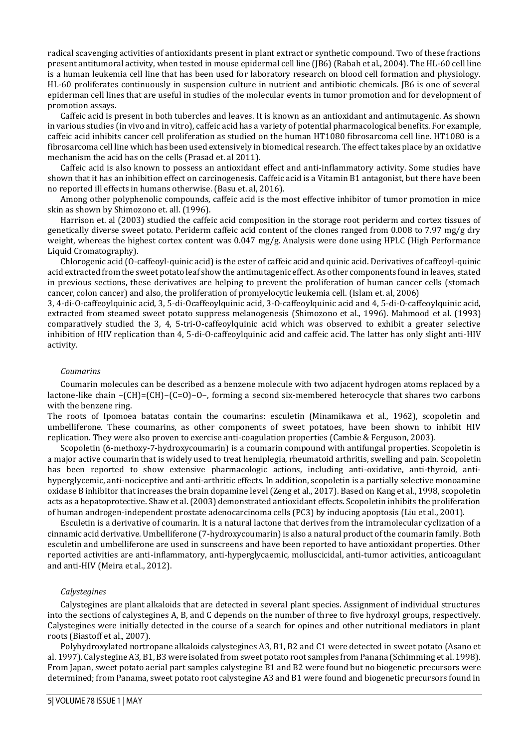radical scavenging activities of antioxidants present in plant extract or synthetic compound. Two of these fractions present antitumoral activity, when tested in mouse epidermal cell line (JB6) (Rabah et al., 2004). The HL-60 cell line is a human leukemia cell line that has been used for laboratory research on blood cell formation and physiology. HL-60 proliferates continuously in suspension culture in nutrient and antibiotic chemicals. JB6 is one of several epiderman cell lines that are useful in studies of the molecular events in tumor promotion and for development of promotion assays.

Caffeic acid is present in both tubercles and leaves. It is known as an antioxidant and antimutagenic. As shown in various studies (in vivo and in vitro), caffeic acid has a variety of potential pharmacological benefits. For example, caffeic acid inhibits cancer cell proliferation as studied on the human HT1080 fibrosarcoma cell line. HT1080 is a fibrosarcoma cell line which has been used extensively in biomedical research. The effect takes place by an oxidative mechanism the acid has on the cells (Prasad et. al 2011).

Caffeic acid is also known to possess an antioxidant effect and anti-inflammatory activity. Some studies have shown that it has an inhibition effect on carcinogenesis. Caffeic acid is a Vitamin B1 antagonist, but there have been no reported ill effects in humans otherwise. (Basu et. al, 2016).

Among other polyphenolic compounds, caffeic acid is the most effective inhibitor of tumor promotion in mice skin as shown by Shimozono et. all. (1996).

Harrison et. al (2003) studied the caffeic acid composition in the storage root periderm and cortex tissues of genetically diverse sweet potato. Periderm caffeic acid content of the clones ranged from 0.008 to 7.97 mg/g dry weight, whereas the highest cortex content was 0.047 mg/g. Analysis were done using HPLC (High Performance Liquid Cromatography).

Chlorogenic acid (O-caffeoyl-quinic acid) is the ester of caffeic acid and quinic acid. Derivatives of caffeoyl-quinic acid extracted from the sweet potato leaf show the antimutagenic effect. As other components found in leaves, stated in previous sections, these derivatives are helping to prevent the proliferation of human cancer cells (stomach cancer, colon cancer) and also, the proliferation of promyelocytic leukemia cell. (Islam et. al, 2006)

3, 4-di-O-caffeoylquinic acid, 3, 5-di-Ocaffeoylquinic acid, 3-O-caffeoylquinic acid and 4, 5-di-O-caffeoylquinic acid, extracted from steamed sweet potato suppress melanogenesis (Shimozono et al., 1996). Mahmood et al. (1993) comparatively studied the 3, 4, 5-tri-O-caffeoylquinic acid which was observed to exhibit a greater selective inhibition of HIV replication than 4, 5-di-O-caffeoylquinic acid and caffeic acid. The latter has only slight anti-HIV activity.

#### *Coumarins*

Coumarin molecules can be described as a benzene molecule with two adjacent hydrogen atoms replaced by a lactone-like chain −(CH)=(CH)−(C=O)−O−, forming a second six-membered heterocycle that shares two carbons with the benzene ring.

The roots of Ipomoea batatas contain the coumarins: esculetin (Minamikawa et al., 1962), scopoletin and umbelliferone. These coumarins, as other components of sweet potatoes, have been shown to inhibit HIV replication. They were also proven to exercise anti-coagulation properties (Cambie & Ferguson, 2003).

Scopoletin (6-methoxy-7-hydroxycoumarin) is a coumarin compound with antifungal properties. Scopoletin is a major active coumarin that is widely used to treat hemiplegia, rheumatoid arthritis, swelling and pain. Scopoletin has been reported to show extensive pharmacologic actions, including anti-oxidative, anti-thyroid, antihyperglycemic, anti-nociceptive and anti-arthritic effects. In addition, scopoletin is a partially selective monoamine oxidase B inhibitor that increases the brain dopamine level (Zeng et al., 2017). Based on Kang et al., 1998, scopoletin acts as a hepatoprotective. Shaw et al. (2003) demonstrated antioxidant effects. Scopoletin inhibits the proliferation of human androgen-independent prostate adenocarcinoma cells (PC3) by inducing apoptosis (Liu et al., 2001).

Esculetin is a derivative of coumarin. It is a natural lactone that derives from the intramolecular cyclization of a cinnamic acid derivative. Umbelliferone (7-hydroxycoumarin) is also a natural product of the coumarin family. Both esculetin and umbelliferone are used in sunscreens and have been reported to have antioxidant properties. Other reported activities are anti-inflammatory, anti-hyperglycaemic, molluscicidal, anti-tumor activities, anticoagulant and anti-HIV (Meira et al., 2012).

#### *Calystegines*

Calystegines are plant alkaloids that are detected in several plant species. Assignment of individual structures into the sections of calystegines A, B, and C depends on the number of three to five hydroxyl groups, respectively. Calystegines were initially detected in the course of a search for opines and other nutritional mediators in plant roots (Biastoff et al., 2007).

Polyhydroxylated nortropane alkaloids calystegines A3, B1, B2 and C1 were detected in sweet potato (Asano et al. 1997). Calystegine A3, B1, B3 were isolated from sweet potato root samples from Panana (Schimming et al. 1998). From Japan, sweet potato aerial part samples calystegine B1 and B2 were found but no biogenetic precursors were determined; from Panama, sweet potato root calystegine A3 and B1 were found and biogenetic precursors found in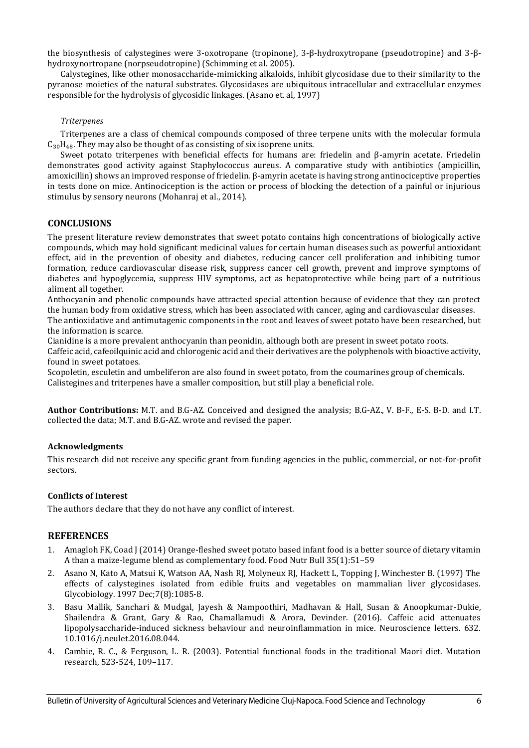the biosynthesis of calystegines were 3-oxotropane (tropinone), 3-β-hydroxytropane (pseudotropine) and 3-βhydroxynortropane (norpseudotropine) (Schimming et al. 2005).

Calystegines, like other monosaccharide-mimicking alkaloids, inhibit glycosidase due to their similarity to the pyranose moieties of the natural substrates. Glycosidases are ubiquitous intracellular and extracellular enzymes responsible for the hydrolysis of glycosidic linkages. (Asano et. al, 1997)

## *Triterpenes*

Triterpenes are a class of chemical compounds composed of three terpene units with the molecular formula  $C_{30}H_{48}$ . They may also be thought of as consisting of six isoprene units.

Sweet potato triterpenes with beneficial effects for humans are: friedelin and β-amyrin acetate. Friedelin demonstrates good activity against Staphylococcus aureus. A comparative study with antibiotics (ampicillin, amoxicillin) shows an improved response of friedelin. β-amyrin acetate is having strong antinociceptive properties in tests done on mice. Antinociception is the action or process of blocking the detection of a painful or injurious stimulus by sensory neurons (Mohanraj et al., 2014).

## **CONCLUSIONS**

The present literature review demonstrates that sweet potato contains high concentrations of biologically active compounds, which may hold significant medicinal values for certain human diseases such as powerful antioxidant effect, aid in the prevention of obesity and diabetes, reducing cancer cell proliferation and inhibiting tumor formation, reduce cardiovascular disease risk, suppress cancer cell growth, prevent and improve symptoms of diabetes and hypoglycemia, suppress HIV symptoms, act as hepatoprotective while being part of a nutritious aliment all together.

Anthocyanin and phenolic compounds have attracted special attention because of evidence that they can protect the human body from oxidative stress, which has been associated with cancer, aging and cardiovascular diseases. The antioxidative and antimutagenic components in the root and leaves of sweet potato have been researched, but the information is scarce.

Cianidine is a more prevalent anthocyanin than peonidin, although both are present in sweet potato roots. Caffeic acid, cafeoilquinic acid and chlorogenic acid and their derivatives are the polyphenols with bioactive activity, found in sweet potatoes.

Scopoletin, esculetin and umbeliferon are also found in sweet potato, from the coumarines group of chemicals. Calistegines and triterpenes have a smaller composition, but still play a beneficial role.

**Author Contributions:** M.T. and B.G-AZ. Conceived and designed the analysis; B.G-AZ., V. B-F., E-S. B-D. and I.T. collected the data; M.T. and B.G-AZ. wrote and revised the paper.

## **Acknowledgments**

This research did not receive any specific grant from funding agencies in the public, commercial, or not-for-profit sectors.

## **Conflicts of Interest**

The authors declare that they do not have any conflict of interest.

# **REFERENCES**

- 1. Amagloh FK, Coad J (2014) Orange-fleshed sweet potato based infant food is a better source of dietary vitamin A than a maize-legume blend as complementary food. Food Nutr Bull 35(1):51–59
- 2. Asano N, Kato A, Matsui K, Watson AA, Nash RJ, Molyneux RJ, Hackett L, Topping J, Winchester B. (1997) The effects of calystegines isolated from edible fruits and vegetables on mammalian liver glycosidases. Glycobiology. 1997 Dec;7(8):1085-8.
- 3. Basu Mallik, Sanchari & Mudgal, Jayesh & Nampoothiri, Madhavan & Hall, Susan & Anoopkumar-Dukie, Shailendra & Grant, Gary & Rao, Chamallamudi & Arora, Devinder. (2016). Caffeic acid attenuates lipopolysaccharide-induced sickness behaviour and neuroinflammation in mice. Neuroscience letters. 632. 10.1016/j.neulet.2016.08.044.
- 4. Cambie, R. C., & Ferguson, L. R. (2003). Potential functional foods in the traditional Maori diet. Mutation research, 523-524, 109–117.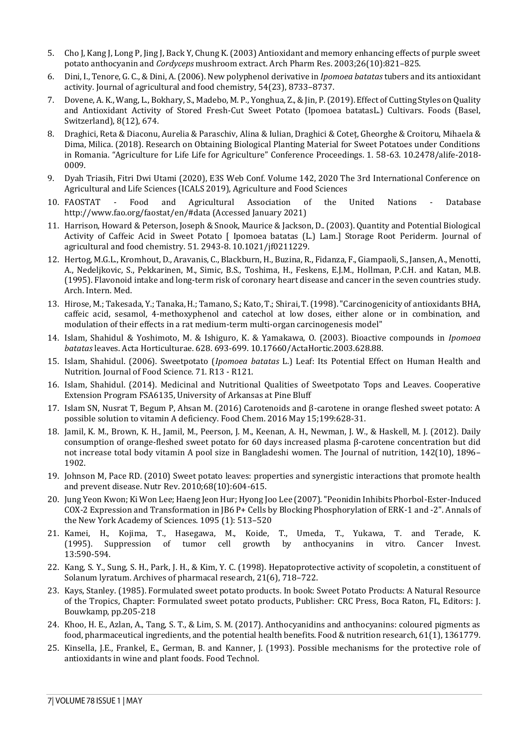- 5. Cho J, Kang J, Long P, Jing J, Back Y, Chung K. (2003) Antioxidant and memory enhancing effects of purple sweet potato anthocyanin and *Cordyceps* mushroom extract. Arch Pharm Res. 2003;26(10):821–825.
- 6. Dini, I., Tenore, G. C., & Dini, A. (2006). New polyphenol derivative in *Ipomoea batatas* tubers and its antioxidant activity. Journal of agricultural and food chemistry, 54(23), 8733–8737.
- 7. Dovene, A. K., Wang, L., Bokhary, S., Madebo, M. P., Yonghua, Z., & Jin, P. (2019). Effect of Cutting Styles on Quality and Antioxidant Activity of Stored Fresh-Cut Sweet Potato (Ipomoea batatasL.) Cultivars. Foods (Basel, Switzerland), 8(12), 674.
- 8. Draghici, Reta & Diaconu, Aurelia & Paraschiv, Alina & Iulian, Draghici & Coteț, Gheorghe & Croitoru, Mihaela & Dima, Milica. (2018). Research on Obtaining Biological Planting Material for Sweet Potatoes under Conditions in Romania. "Agriculture for Life Life for Agriculture" Conference Proceedings. 1. 58-63. 10.2478/alife-2018- 0009.
- 9. Dyah Triasih, Fitri Dwi Utami (2020), E3S Web Conf. Volume 142, 2020 The 3rd International Conference on Agricultural and Life Sciences (ICALS 2019), Agriculture and Food Sciences
- 10. FAOSTAT Food and Agricultural Association of the United Nations Database http://www.fao.org/faostat/en/#data (Accessed January 2021)
- 11. Harrison, Howard & Peterson, Joseph & Snook, Maurice & Jackson, D.. (2003). Quantity and Potential Biological Activity of Caffeic Acid in Sweet Potato [ Ipomoea batatas (L.) Lam.] Storage Root Periderm. Journal of agricultural and food chemistry. 51. 2943-8. 10.1021/jf0211229.
- 12. Hertog, M.G.L., Kromhout, D., Aravanis, C., Blackburn, H., Buzina, R., Fidanza, F., Giampaoli, S., Jansen, A., Menotti, A., Nedeljkovic, S., Pekkarinen, M., Simic, B.S., Toshima, H., Feskens, E.J.M., Hollman, P.C.H. and Katan, M.B. (1995). Flavonoid intake and long-term risk of coronary heart disease and cancer in the seven countries study. Arch. Intern. Med.
- 13. Hirose, M.; Takesada, Y.; Tanaka, H.; Tamano, S.; Kato, T.; Shirai, T. (1998). "Carcinogenicity of antioxidants BHA, caffeic acid, sesamol, 4-methoxyphenol and catechol at low doses, either alone or in combination, and modulation of their effects in a rat medium-term multi-organ carcinogenesis model"
- 14. Islam, Shahidul & Yoshimoto, M. & Ishiguro, K. & Yamakawa, O. (2003). Bioactive compounds in *Ipomoea batatas* leaves. Acta Horticulturae. 628. 693-699. 10.17660/ActaHortic.2003.628.88.
- 15. Islam, Shahidul. (2006). Sweetpotato (*Ipomoea batatas* L.) Leaf: Its Potential Effect on Human Health and Nutrition. Journal of Food Science. 71. R13 - R121.
- 16. Islam, Shahidul. (2014). Medicinal and Nutritional Qualities of Sweetpotato Tops and Leaves. Cooperative Extension Program FSA6135, University of Arkansas at Pine Bluff
- 17. Islam SN, Nusrat T, Begum P, Ahsan M. (2016) Carotenoids and β-carotene in orange fleshed sweet potato: A possible solution to vitamin A deficiency. Food Chem. 2016 May 15;199:628-31.
- 18. Jamil, K. M., Brown, K. H., Jamil, M., Peerson, J. M., Keenan, A. H., Newman, J. W., & Haskell, M. J. (2012). Daily consumption of orange-fleshed sweet potato for 60 days increased plasma β-carotene concentration but did not increase total body vitamin A pool size in Bangladeshi women. The Journal of nutrition, 142(10), 1896– 1902.
- 19. Johnson M, Pace RD. (2010) Sweet potato leaves: properties and synergistic interactions that promote health and prevent disease. Nutr Rev. 2010;68(10):604-615.
- 20. Jung Yeon Kwon; Ki Won Lee; Haeng Jeon Hur; Hyong Joo Lee (2007). "Peonidin Inhibits Phorbol-Ester-Induced COX-2 Expression and Transformation in JB6 P+ Cells by Blocking Phosphorylation of ERK-1 and -2". Annals of the New York Academy of Sciences. 1095 (1): 513–520
- 21. Kamei, H., Kojima, T., Hasegawa, M., Koide, T., Umeda, T., Yukawa, T. and Terade, K. (1995). Suppression of tumor cell growth by anthocyanins in vitro. Cancer Invest. 13:590-594.
- 22. Kang, S. Y., Sung, S. H., Park, J. H., & Kim, Y. C. (1998). Hepatoprotective activity of scopoletin, a constituent of Solanum lyratum. Archives of pharmacal research, 21(6), 718–722.
- 23. Kays, Stanley. (1985). Formulated sweet potato products. In book: Sweet Potato Products: A Natural Resource of the Tropics, Chapter: Formulated sweet potato products, Publisher: CRC Press, Boca Raton, FL, Editors: J. Bouwkamp, pp.205-218
- 24. Khoo, H. E., Azlan, A., Tang, S. T., & Lim, S. M. (2017). Anthocyanidins and anthocyanins: coloured pigments as food, pharmaceutical ingredients, and the potential health benefits. Food & nutrition research, 61(1), 1361779.
- 25. Kinsella, J.E., Frankel, E., German, B. and Kanner, J. (1993). Possible mechanisms for the protective role of antioxidants in wine and plant foods. Food Technol.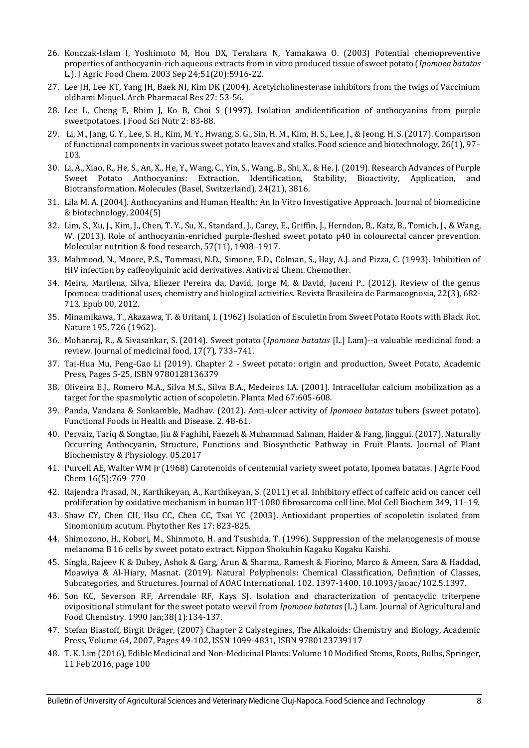- 26. Konczak-Islam I, Yoshimoto M, Hou DX, Terahara N, Yamakawa O. (2003) Potential chemopreventive properties of anthocyanin-rich aqueous extracts from in vitro produced tissue of sweet potato (*Ipomoea batatas* L.). J Agric Food Chem. 2003 Sep 24;51(20):5916-22.
- 27. Lee JH, Lee KT, Yang JH, Baek NI, Kim DK (2004). Acetylcholinesterase inhibitors from the twigs of Vaccinium oldhami Miquel. Arch Pharmacal Res 27: 53-56.
- 28. Lee L, Cheng E, Rhim J, Ko B, Choi S (1997). Isolation andidentification of anthocyanins from purple sweetpotatoes. J Food Sci Nutr 2: 83-88.
- 29. Li, M., Jang, G. Y., Lee, S. H., Kim, M. Y., Hwang, S. G., Sin, H. M., Kim, H. S., Lee, J., & Jeong, H. S. (2017). Comparison of functional components in various sweet potato leaves and stalks. Food science and biotechnology, 26(1), 97– 103.
- 30. Li, A., Xiao, R., He, S., An, X., He, Y., Wang, C., Yin, S., Wang, B., Shi, X., & He, J. (2019). Research Advances of Purple Sweet Potato Anthocyanins: Extraction, Identification, Stability, Bioactivity, Application, and Biotransformation. Molecules (Basel, Switzerland), 24(21), 3816.
- 31. Lila M. A. (2004). Anthocyanins and Human Health: An In Vitro Investigative Approach. Journal of biomedicine & biotechnology, 2004(5)
- 32. Lim, S., Xu, J., Kim, J., Chen, T. Y., Su, X., Standard, J., Carey, E., Griffin, J., Herndon, B., Katz, B., Tomich, J., & Wang, W. (2013). Role of anthocyanin-enriched purple-fleshed sweet potato p40 in colourectal cancer prevention. Molecular nutrition & food research, 57(11), 1908–1917.
- 33. Mahmood, N., Moore, P.S., Tommasi, N.D., Simone, F.D., Colman, S., Hay, A.J. and Pizza, C. (1993). Inhibition of HIV infection by caffeoylquinic acid derivatives. Antiviral Chem. Chemother.
- 34. Meira, Marilena, Silva, Eliezer Pereira da, David, Jorge M, & David, Juceni P.. (2012). Review of the genus Ipomoea: traditional uses, chemistry and biological activities. Revista Brasileira de Farmacognosia, 22(3), 682- 713. Epub 00, 2012.
- 35. Minamikawa, T., Akazawa, T. & UritanI, I. (1962) Isolation of Esculetin from Sweet Potato Roots with Black Rot. Nature 195, 726 (1962).
- 36. Mohanraj, R., & Sivasankar, S. (2014). Sweet potato (*Ipomoea batatas* [L.] Lam)--a valuable medicinal food: a review. Journal of medicinal food, 17(7), 733–741.
- 37. Tai-Hua Mu, Peng-Gao Li (2019). Chapter 2 Sweet potato: origin and production, Sweet Potato, Academic Press, Pages 5-25, ISBN 9780128136379
- 38. Oliveira E.J., Romero M.A., Silva M.S., Silva B.A., Medeiros I.A. (2001). Intracellular calcium mobilization as a target for the spasmolytic action of scopoletin. Planta Med 67:605-608.
- 39. Panda, Vandana & Sonkamble, Madhav. (2012). Anti-ulcer activity of *Ipomoea batatas* tubers (sweet potato). Functional Foods in Health and Disease. 2. 48-61.
- 40. Pervaiz, Tariq & Songtao, Jiu & Faghihi, Faezeh & Muhammad Salman, Haider & Fang, Jinggui. (2017). Naturally Occurring Anthocyanin, Structure, Functions and Biosynthetic Pathway in Fruit Plants. Journal of Plant Biochemistry & Physiology. 05.2017
- 41. Purcell AE, Walter WM Jr (1968) Carotenoids of centennial variety sweet potato, Ipomea batatas. J Agric Food Chem 16(5):769–770
- 42. Rajendra Prasad, N., Karthikeyan, A., Karthikeyan, S. (2011) et al. Inhibitory effect of caffeic acid on cancer cell proliferation by oxidative mechanism in human HT-1080 fibrosarcoma cell line. Mol Cell Biochem 349, 11–19.
- 43. Shaw CY, Chen CH, Hsu CC, Chen CC, Tsai YC (2003). Antioxidant properties of scopoletin isolated from Sinomonium acutum. Phytother Res 17: 823-825.
- 44. Shimozono, H., Kobori, M., Shinmoto, H. and Tsushida, T. (1996). Suppression of the melanogenesis of mouse melanoma B 16 cells by sweet potato extract. Nippon Shokuhin Kagaku Kogaku Kaishi.
- 45. Singla, Rajeev K & Dubey, Ashok & Garg, Arun & Sharma, Ramesh & Fiorino, Marco & Ameen, Sara & Haddad, Moawiya & Al-Hiary, Masnat. (2019). Natural Polyphenols: Chemical Classification, Definition of Classes, Subcategories, and Structures. Journal of AOAC International. 102. 1397-1400. 10.1093/jaoac/102.5.1397.
- 46. Son KC, Severson RF, Arrendale RF, Kays SJ. Isolation and characterization of pentacyclic triterpene ovipositional stimulant for the sweet potato weevil from *Ipomoea batatas* (L.) Lam. Journal of Agricultural and Food Chemistry. 1990 Jan;38(1):134-137.
- 47. Stefan Biastoff, Birgit Dräger, (2007) Chapter 2 Calystegines, The Alkaloids: Chemistry and Biology, Academic Press, Volume 64, 2007, Pages 49-102, ISSN 1099-4831, ISBN 9780123739117
- 48. T. K. Lim (2016), Edible Medicinal and Non-Medicinal Plants: Volume 10 Modified Stems, Roots, Bulbs, Springer, 11 Feb 2016, page 100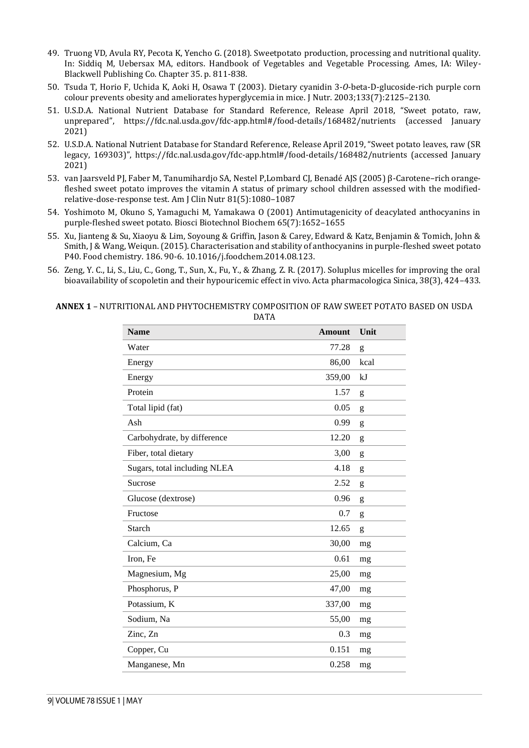- 49. Truong VD, Avula RY, Pecota K, Yencho G. (2018). Sweetpotato production, processing and nutritional quality. In: Siddiq M, Uebersax MA, editors. Handbook of Vegetables and Vegetable Processing. Ames, IA: Wiley-Blackwell Publishing Co. Chapter 35. p. 811-838.
- 50. Tsuda T, Horio F, Uchida K, Aoki H, Osawa T (2003). Dietary cyanidin 3-*O*-beta-D-glucoside-rich purple corn colour prevents obesity and ameliorates hyperglycemia in mice. J Nutr. 2003;133(7):2125–2130.
- 51. U.S.D.A. National Nutrient Database for Standard Reference, Release April 2018, "Sweet potato, raw, unprepared", https://fdc.nal.usda.gov/fdc-app.html#/food-details/168482/nutrients (accessed January 2021)
- 52. U.S.D.A. National Nutrient Database for Standard Reference, Release April 2019, "Sweet potato leaves, raw (SR legacy, 169303)", https://fdc.nal.usda.gov/fdc-app.html#/food-details/168482/nutrients (accessed January 2021)
- 53. van Jaarsveld PJ, Faber M, Tanumihardjo SA, Nestel P,Lombard CJ, Benadé AJS (2005) β-Carotene–rich orangefleshed sweet potato improves the vitamin A status of primary school children assessed with the modifiedrelative-dose-response test. Am J Clin Nutr 81(5):1080–1087
- 54. Yoshimoto M, Okuno S, Yamaguchi M, Yamakawa O (2001) Antimutagenicity of deacylated anthocyanins in purple-fleshed sweet potato. Biosci Biotechnol Biochem 65(7):1652–1655
- 55. Xu, Jianteng & Su, Xiaoyu & Lim, Soyoung & Griffin, Jason & Carey, Edward & Katz, Benjamin & Tomich, John & Smith, J & Wang, Weiqun. (2015). Characterisation and stability of anthocyanins in purple-fleshed sweet potato P40. Food chemistry. 186. 90-6. 10.1016/j.foodchem.2014.08.123.
- 56. Zeng, Y. C., Li, S., Liu, C., Gong, T., Sun, X., Fu, Y., & Zhang, Z. R. (2017). Soluplus micelles for improving the oral bioavailability of scopoletin and their hypouricemic effect in vivo. Acta pharmacologica Sinica, 38(3), 424–433.

#### **ANNEX 1** – NUTRITIONAL AND PHYTOCHEMISTRY COMPOSITION OF RAW SWEET POTATO BASED ON USDA DATA

| <b>Name</b>                  | <b>Amount</b> | Unit |
|------------------------------|---------------|------|
| Water                        | 77.28         | g    |
| Energy                       | 86,00         | kcal |
| Energy                       | 359,00        | kJ   |
| Protein                      | 1.57          | g    |
| Total lipid (fat)            | 0.05          | g    |
| Ash                          | 0.99          | g    |
| Carbohydrate, by difference  | 12.20         | g    |
| Fiber, total dietary         | 3,00          | g    |
| Sugars, total including NLEA | 4.18          | g    |
| Sucrose                      | 2.52          | g    |
| Glucose (dextrose)           | 0.96          | g    |
| Fructose                     | 0.7           | g    |
| Starch                       | 12.65         | g    |
| Calcium, Ca                  | 30,00         | mg   |
| Iron, Fe                     | 0.61          | mg   |
| Magnesium, Mg                | 25,00         | mg   |
| Phosphorus, P                | 47,00         | mg   |
| Potassium, K                 | 337,00        | mg   |
| Sodium, Na                   | 55,00         | mg   |
| Zinc, Zn                     | 0.3           | mg   |
| Copper, Cu                   | 0.151         | mg   |
| Manganese, Mn                | 0.258         | mg   |